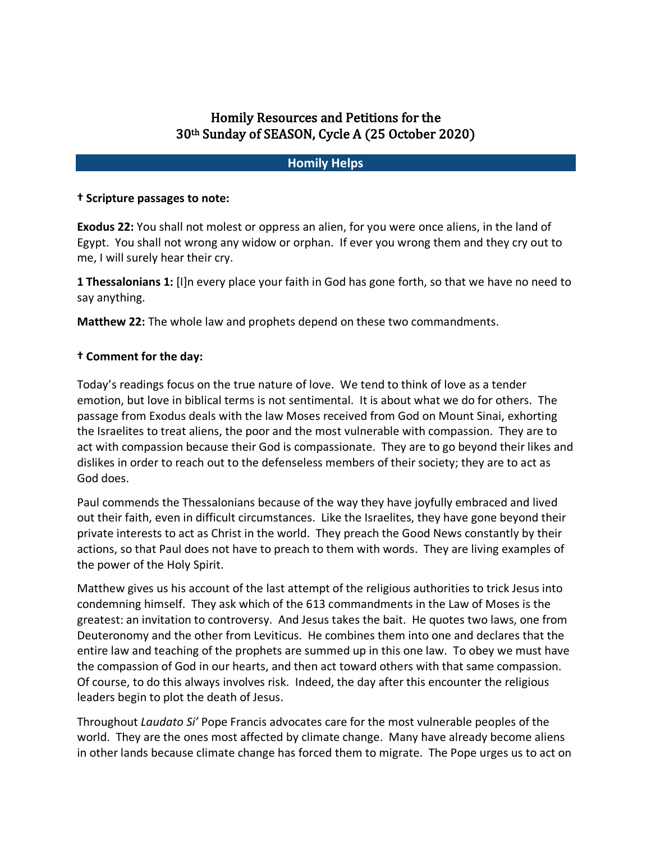# Homily Resources and Petitions for the 30<sup>th</sup> Sunday of SEASON, Cycle A (25 October 2020)

### **Homily Helps**

#### **† Scripture passages to note:**

**Exodus 22:** You shall not molest or oppress an alien, for you were once aliens, in the land of Egypt. You shall not wrong any widow or orphan. If ever you wrong them and they cry out to me, I will surely hear their cry.

**1 Thessalonians 1:** [I]n every place your faith in God has gone forth, so that we have no need to say anything.

**Matthew 22:** The whole law and prophets depend on these two commandments.

#### **† Comment for the day:**

Today's readings focus on the true nature of love. We tend to think of love as a tender emotion, but love in biblical terms is not sentimental. It is about what we do for others. The passage from Exodus deals with the law Moses received from God on Mount Sinai, exhorting the Israelites to treat aliens, the poor and the most vulnerable with compassion. They are to act with compassion because their God is compassionate. They are to go beyond their likes and dislikes in order to reach out to the defenseless members of their society; they are to act as God does.

Paul commends the Thessalonians because of the way they have joyfully embraced and lived out their faith, even in difficult circumstances. Like the Israelites, they have gone beyond their private interests to act as Christ in the world. They preach the Good News constantly by their actions, so that Paul does not have to preach to them with words. They are living examples of the power of the Holy Spirit.

Matthew gives us his account of the last attempt of the religious authorities to trick Jesus into condemning himself. They ask which of the 613 commandments in the Law of Moses is the greatest: an invitation to controversy. And Jesus takes the bait. He quotes two laws, one from Deuteronomy and the other from Leviticus. He combines them into one and declares that the entire law and teaching of the prophets are summed up in this one law. To obey we must have the compassion of God in our hearts, and then act toward others with that same compassion. Of course, to do this always involves risk. Indeed, the day after this encounter the religious leaders begin to plot the death of Jesus.

Throughout *Laudato Si'* Pope Francis advocates care for the most vulnerable peoples of the world. They are the ones most affected by climate change. Many have already become aliens in other lands because climate change has forced them to migrate. The Pope urges us to act on